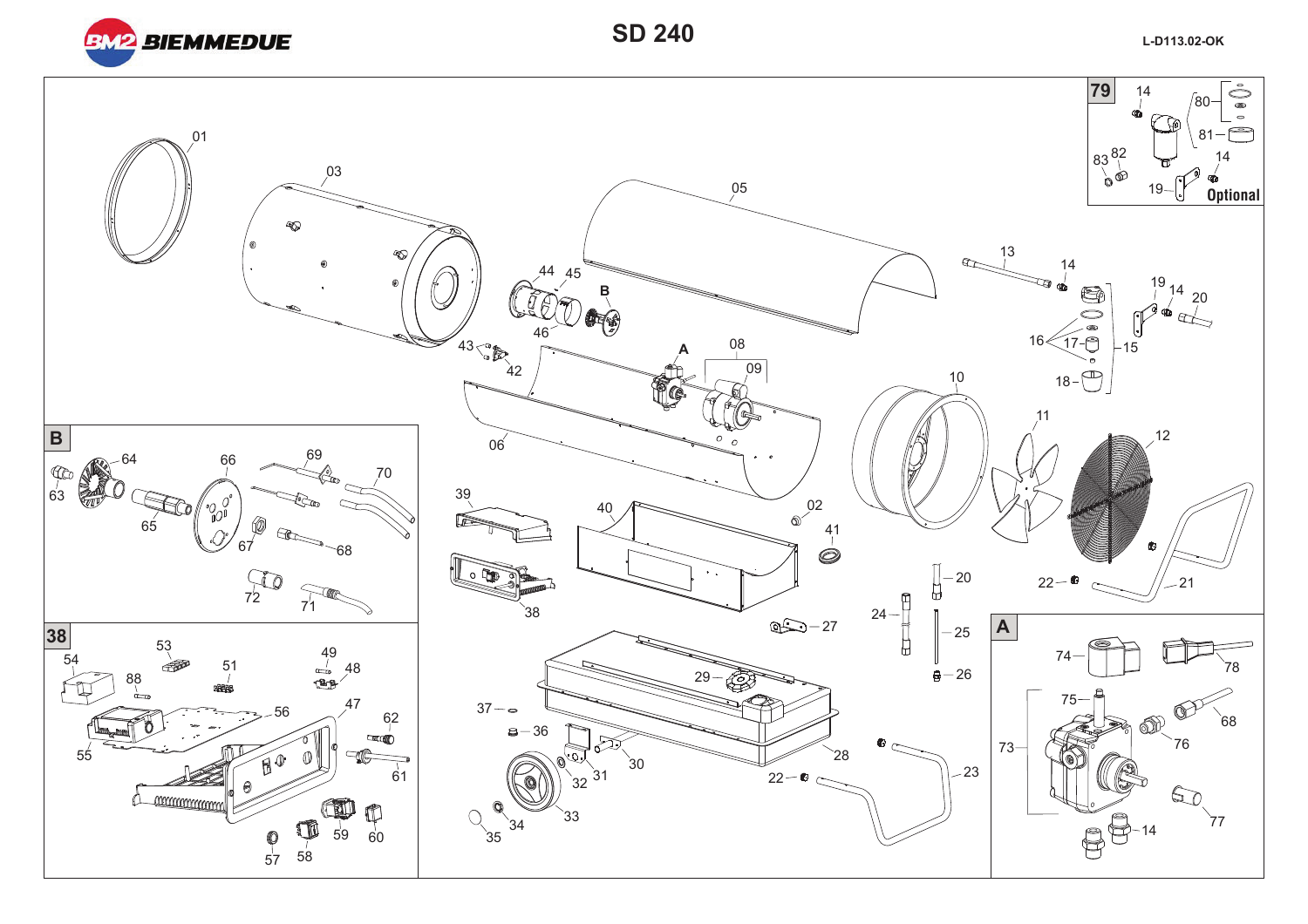

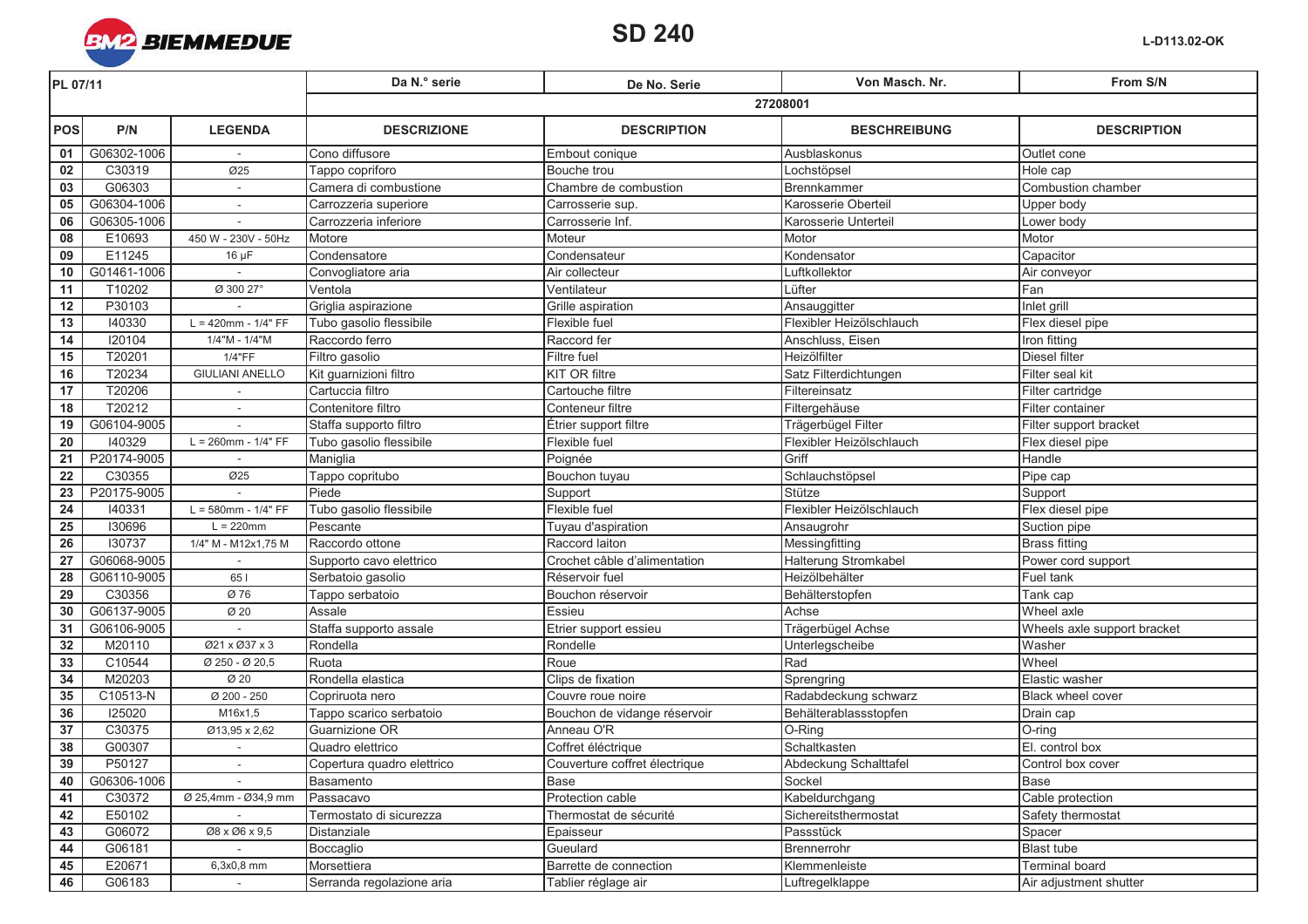

| PL 07/11        |             |                          | Da N.º serie               | De No. Serie                  | Von Masch. Nr.           | From S/N                    |  |
|-----------------|-------------|--------------------------|----------------------------|-------------------------------|--------------------------|-----------------------------|--|
|                 |             |                          | 27208001                   |                               |                          |                             |  |
| <b>POS</b>      | P/N         | <b>LEGENDA</b>           | <b>DESCRIZIONE</b>         | <b>DESCRIPTION</b>            | <b>BESCHREIBUNG</b>      | <b>DESCRIPTION</b>          |  |
| 01              | G06302-1006 |                          | Cono diffusore             | Embout conique                | Ausblaskonus             | Outlet cone                 |  |
| 02              | C30319      | Ø25                      | Tappo copriforo            | Bouche trou                   | Lochstöpsel              | Hole cap                    |  |
| $\overline{03}$ | G06303      | $\overline{\phantom{a}}$ | Camera di combustione      | Chambre de combustion         | Brennkammer              | Combustion chamber          |  |
| 05              | G06304-1006 |                          | Carrozzeria superiore      | Carrosserie sup.              | Karosserie Oberteil      | Upper body                  |  |
| 06              | G06305-1006 | $\sim$                   | Carrozzeria inferiore      | Carrosserie Inf.              | Karosserie Unterteil     | Lower body                  |  |
| $\overline{08}$ | E10693      | 450 W - 230V - 50Hz      | Motore                     | Moteur                        | Motor                    | Motor                       |  |
| 09              | E11245      | $16 \mu F$               | Condensatore               | Condensateur                  | Kondensator              | Capacitor                   |  |
| 10              | G01461-1006 |                          | Convogliatore aria         | Air collecteur                | Luftkollektor            | Air conveyor                |  |
| 11              | T10202      | Ø 300 27°                | Ventola                    | Ventilateur                   | Lüfter                   | Fan                         |  |
| 12              | P30103      |                          | Griglia aspirazione        | Grille aspiration             | Ansauggitter             | Inlet grill                 |  |
| 13              | 140330      | $L = 420$ mm - $1/4" FF$ | Tubo gasolio flessibile    | Flexible fuel                 | Flexibler Heizölschlauch | Flex diesel pipe            |  |
| 14              | 120104      | 1/4"M - 1/4"M            | Raccordo ferro             | Raccord fer                   | Anschluss, Eisen         | Iron fitting                |  |
| 15              | T20201      | 1/4"FF                   | Filtro gasolio             | Filtre fuel                   | Heizölfilter             | Diesel filter               |  |
| 16              | T20234      | <b>GIULIANI ANELLO</b>   | Kit guarnizioni filtro     | <b>KIT OR filtre</b>          | Satz Filterdichtungen    | Filter seal kit             |  |
| 17              | T20206      |                          | Cartuccia filtro           | Cartouche filtre              | Filtereinsatz            | Filter cartridge            |  |
| 18              | T20212      | $\sim$                   | Contenitore filtro         | Conteneur filtre              | Filtergehäuse            | Filter container            |  |
| 19              | G06104-9005 |                          | Staffa supporto filtro     | Étrier support filtre         | Trägerbügel Filter       | Filter support bracket      |  |
| 20              | 140329      | $L = 260$ mm - $1/4" FF$ | Tubo gasolio flessibile    | Flexible fuel                 | Flexibler Heizölschlauch | Flex diesel pipe            |  |
| 21              | P20174-9005 |                          | Maniglia                   | Poignée                       | Griff                    | Handle                      |  |
| 22              | C30355      | Ø25                      | Tappo copritubo            | Bouchon tuyau                 | Schlauchstöpsel          | Pipe cap                    |  |
| 23              | P20175-9005 |                          | Piede                      | Support                       | Stütze                   | Support                     |  |
| $\overline{24}$ | 140331      | $L = 580$ mm - 1/4" FF   | Tubo gasolio flessibile    | Flexible fuel                 | Flexibler Heizölschlauch | Flex diesel pipe            |  |
| 25              | 130696      | $L = 220$ mm             | Pescante                   | Tuyau d'aspiration            | Ansaugrohr               | Suction pipe                |  |
| 26              | 130737      | 1/4" M - M12x1,75 M      | Raccordo ottone            | Raccord laiton                | Messingfitting           | <b>Brass fitting</b>        |  |
| 27              | G06068-9005 |                          | Supporto cavo elettrico    | Crochet câble d'alimentation  | Halterung Stromkabel     | Power cord support          |  |
| 28              | G06110-9005 | 651                      | Serbatoio gasolio          | Réservoir fuel                | Heizölbehälter           | Fuel tank                   |  |
| 29              | C30356      | Ø 76                     | Tappo serbatoio            | Bouchon réservoir             | Behälterstopfen          | Tank cap                    |  |
| 30              | G06137-9005 | Ø 20                     | Assale                     | Essieu                        | Achse                    | Wheel axle                  |  |
| 31              | G06106-9005 |                          | Staffa supporto assale     | Etrier support essieu         | Trägerbügel Achse        | Wheels axle support bracket |  |
| 32              | M20110      | Ø21 x Ø37 x 3            | Rondella                   | Rondelle                      | Unterlegscheibe          | Washer                      |  |
| 33              | C10544      | Ø 250 - Ø 20,5           | Ruota                      | Roue                          | Rad                      | Wheel                       |  |
| 34              | M20203      | Ø 20                     | Rondella elastica          | Clips de fixation             | Sprengring               | Elastic washer              |  |
| 35              | C10513-N    | Ø 200 - 250              | Copriruota nero            | Couvre roue noire             | Radabdeckung schwarz     | Black wheel cover           |  |
| 36              | 125020      | M16x1,5                  | Tappo scarico serbatoio    | Bouchon de vidange réservoir  | Behälterablassstopfen    | Drain cap                   |  |
| $\overline{37}$ | C30375      | Ø13,95 x 2,62            | Guarnizione OR             | Anneau O'R                    | O-Ring                   | O-ring                      |  |
| 38              | G00307      |                          | Quadro elettrico           | Coffret éléctrique            | Schaltkasten             | El. control box             |  |
| 39              | P50127      |                          | Copertura quadro elettrico | Couverture coffret électrique | Abdeckung Schalttafel    | Control box cover           |  |
| 40              | G06306-1006 | $\sim$                   | Basamento                  | <b>Base</b>                   | Sockel                   | Base                        |  |
| 41              | C30372      | Ø 25,4mm - Ø34,9 mm      | Passacavo                  | Protection cable              | Kabeldurchgang           | Cable protection            |  |
| 42              | E50102      |                          | Termostato di sicurezza    | Thermostat de sécurité        | Sichereitsthermostat     | Safety thermostat           |  |
| 43              | G06072      | Ø8 x Ø6 x 9,5            | Distanziale                | Epaisseur                     | Passstück                | Spacer                      |  |
| 44              | G06181      |                          | Boccaglio                  | Gueulard                      | Brennerrohr              | <b>Blast tube</b>           |  |
| 45              | E20671      | 6,3x0,8 mm               | Morsettiera                | Barrette de connection        | Klemmenleiste            | Terminal board              |  |
| 46              | G06183      |                          | Serranda regolazione aria  | Tablier réglage air           | Luftregelklappe          | Air adjustment shutter      |  |